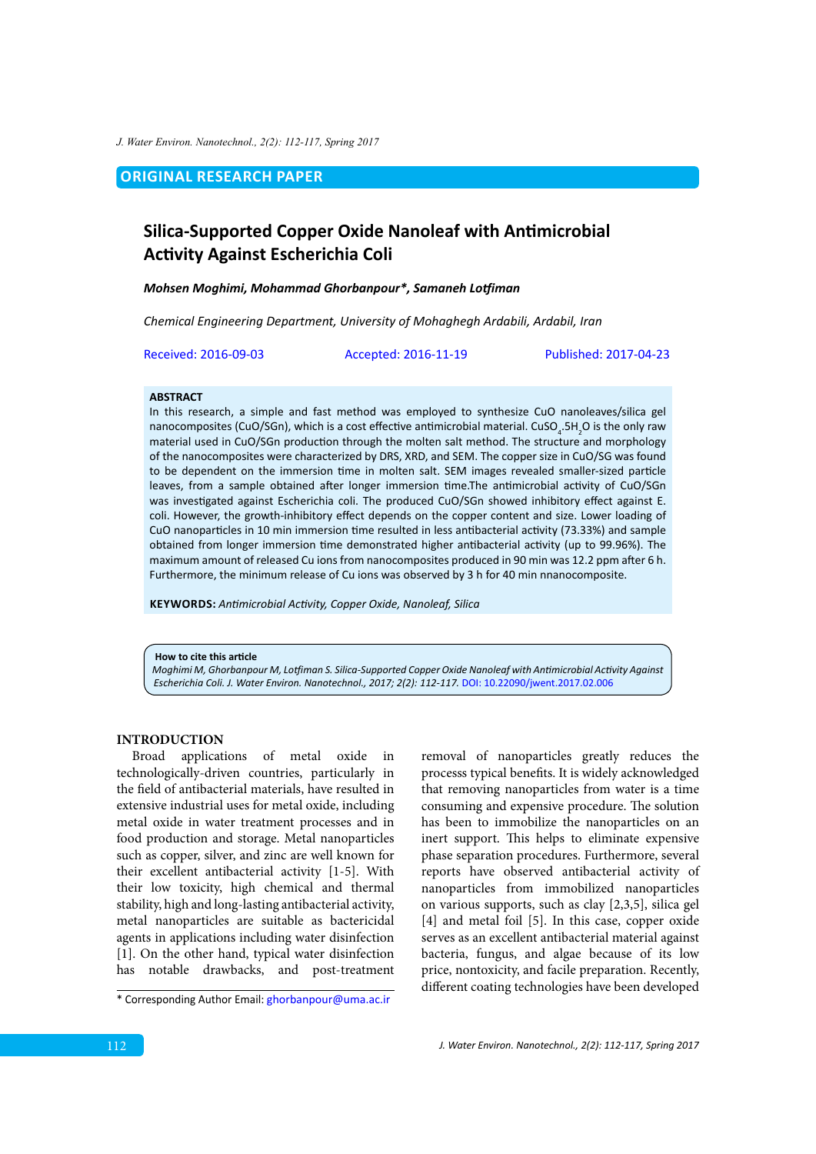*J. Water Environ. Nanotechnol., 2(2): 112-117, Spring 2017*

**ORIGINAL RESEARCH PAPER** 

# **Silica-Supported Copper Oxide Nanoleaf with Antimicrobial Activity Against Escherichia Coli**

#### *Mohsen Moghimi, Mohammad Ghorbanpour\*, Samaneh Lotfiman*

*Chemical Engineering Department, University of Mohaghegh Ardabili, Ardabil, Iran*

Received: 2016-09-03 Accepted: 2016-11-19 Published: 2017-04-23

#### **ABSTRACT**

In this research, a simple and fast method was employed to synthesize CuO nanoleaves/silica gel nanocomposites (CuO/SGn), which is a cost effective antimicrobial material. CuSO<sub>4</sub>.5H<sub>2</sub>O is the only raw material used in CuO/SGn production through the molten salt method. The structure and morphology of the nanocomposites were characterized by DRS, XRD, and SEM. The copper size in CuO/SG was found to be dependent on the immersion time in molten salt. SEM images revealed smaller-sized particle leaves, from a sample obtained after longer immersion time.The antimicrobial activity of CuO/SGn was investigated against Escherichia coli. The produced CuO/SGn showed inhibitory effect against E. coli. However, the growth-inhibitory effect depends on the copper content and size. Lower loading of CuO nanoparticles in 10 min immersion time resulted in less antibacterial activity (73.33%) and sample obtained from longer immersion time demonstrated higher antibacterial activity (up to 99.96%). The maximum amount of released Cu ions from nanocomposites produced in 90 min was 12.2 ppm after 6 h. Furthermore, the minimum release of Cu ions was observed by 3 h for 40 min nnanocomposite.

**KEYWORDS:** *Antimicrobial Activity, Copper Oxide, Nanoleaf, Silica*

**How to cite this article**

*Moghimi M, Ghorbanpour M, Lotfiman S. Silica-Supported Copper Oxide Nanoleaf with Antimicrobial Activity Against Escherichia Coli. J. Water Environ. Nanotechnol., 2017; 2(2): 112-117.* [DOI: 10.22090/jwent.2017.02.006](DX.DOI.ORG/10.22090/jwent.2017.02.006)

## **INTRODUCTION**

Broad applications of metal oxide in technologically-driven countries, particularly in the field of antibacterial materials, have resulted in extensive industrial uses for metal oxide, including metal oxide in water treatment processes and in food production and storage. Metal nanoparticles such as copper, silver, and zinc are well known for their excellent antibacterial activity [1-5]. With their low toxicity, high chemical and thermal stability, high and long-lasting antibacterial activity, metal nanoparticles are suitable as bactericidal agents in applications including water disinfection [1]. On the other hand, typical water disinfection has notable drawbacks, and post-treatment removal of nanoparticles greatly reduces the processs typical benefits. It is widely acknowledged that removing nanoparticles from water is a time consuming and expensive procedure. The solution has been to immobilize the nanoparticles on an inert support. This helps to eliminate expensive phase separation procedures. Furthermore, several reports have observed antibacterial activity of nanoparticles from immobilized nanoparticles on various supports, such as clay [2,3,5], silica gel [4] and metal foil [5]. In this case, copper oxide serves as an excellent antibacterial material against bacteria, fungus, and algae because of its low price, nontoxicity, and facile preparation. Recently, different coating technologies have been developed

<sup>\*</sup> Corresponding Author Email: g[horbanpour@uma.ac.ir](mailto:Ghorbanpour@uma.ac.ir)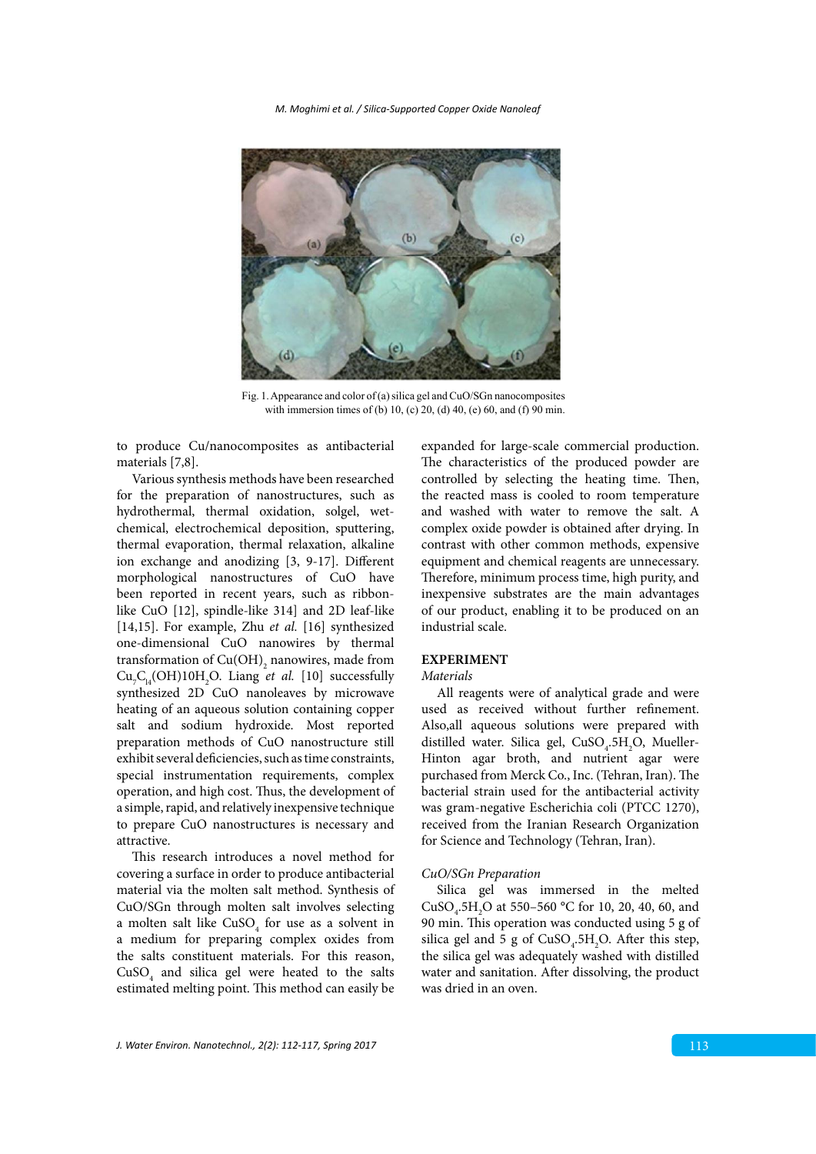*M. Moghimi et al. / Silica-Supported Copper Oxide Nanoleaf*



Fig. 1. Appearance and color of (a) sinca get and CuO/SGn nanocomposites with immersion times of (b) 10, (c) 20, (d) 40, (e) 60, and (f) 90 min. Fig. 1. Appearance and color of (a) silica gel and CuO/SGn nanocomposites

to produce Cu/nanocomposites as antibacterial materials [7,8].

Various synthesis methods have been researched for the preparation of nanostructures, such as hydrothermal, thermal oxidation, solgel, wetchemical, electrochemical deposition, sputtering, thermal evaporation, thermal relaxation, alkaline ion exchange and anodizing [3, 9-17]. Different morphological nanostructures of CuO have been reported in recent years, such as ribbonlike CuO [12], spindle-like 314] and 2D leaf-like [14,15]. For example, Zhu *et al.* [16] synthesized one-dimensional CuO nanowires by thermal transformation of  $\mathrm{Cu(OH)}_{2}$  nanowires, made from  $Cu_{7}C_{14}$ (OH)10H<sub>2</sub>O. Liang *et al.* [10] successfully synthesized 2D CuO nanoleaves by microwave heating of an aqueous solution containing copper salt and sodium hydroxide. Most reported preparation methods of CuO nanostructure still exhibit several deficiencies, such as time constraints, special instrumentation requirements, complex operation, and high cost. Thus, the development of a simple, rapid, and relatively inexpensive technique to prepare CuO nanostructures is necessary and attractive.

This research introduces a novel method for covering a surface in order to produce antibacterial material via the molten salt method. Synthesis of CuO/SGn through molten salt involves selecting a molten salt like  $CuSO<sub>4</sub>$  for use as a solvent in a medium for preparing complex oxides from the salts constituent materials. For this reason,  $CuSO<sub>4</sub>$  and silica gel were heated to the salts estimated melting point. This method can easily be

expanded for large-scale commercial production. The characteristics of the produced powder are controlled by selecting the heating time. Then, the reacted mass is cooled to room temperature and washed with water to remove the salt. A complex oxide powder is obtained after drying. In contrast with other common methods, expensive equipment and chemical reagents are unnecessary. Therefore, minimum process time, high purity, and inexpensive substrates are the main advantages of our product, enabling it to be produced on an industrial scale.

# **EXPERIMENT**

## *Materials*

All reagents were of analytical grade and were used as received without further refinement. Also,all aqueous solutions were prepared with distilled water. Silica gel,  $CuSO<sub>4</sub>$ .5H<sub>2</sub>O, Mueller-Hinton agar broth, and nutrient agar were purchased from Merck Co., Inc. (Tehran, Iran). The bacterial strain used for the antibacterial activity was gram-negative Escherichia coli (PTCC 1270), received from the Iranian Research Organization for Science and Technology (Tehran, Iran).

#### *CuO/SGn Preparation*

Silica gel was immersed in the melted CuSO<sub>4</sub>.5H<sub>2</sub>O at 550–560 °C for 10, 20, 40, 60, and 90 min. This operation was conducted using 5 g of silica gel and 5 g of  $CuSO<sub>4</sub>$ .5H<sub>2</sub>O. After this step, the silica gel was adequately washed with distilled water and sanitation. After dissolving, the product was dried in an oven.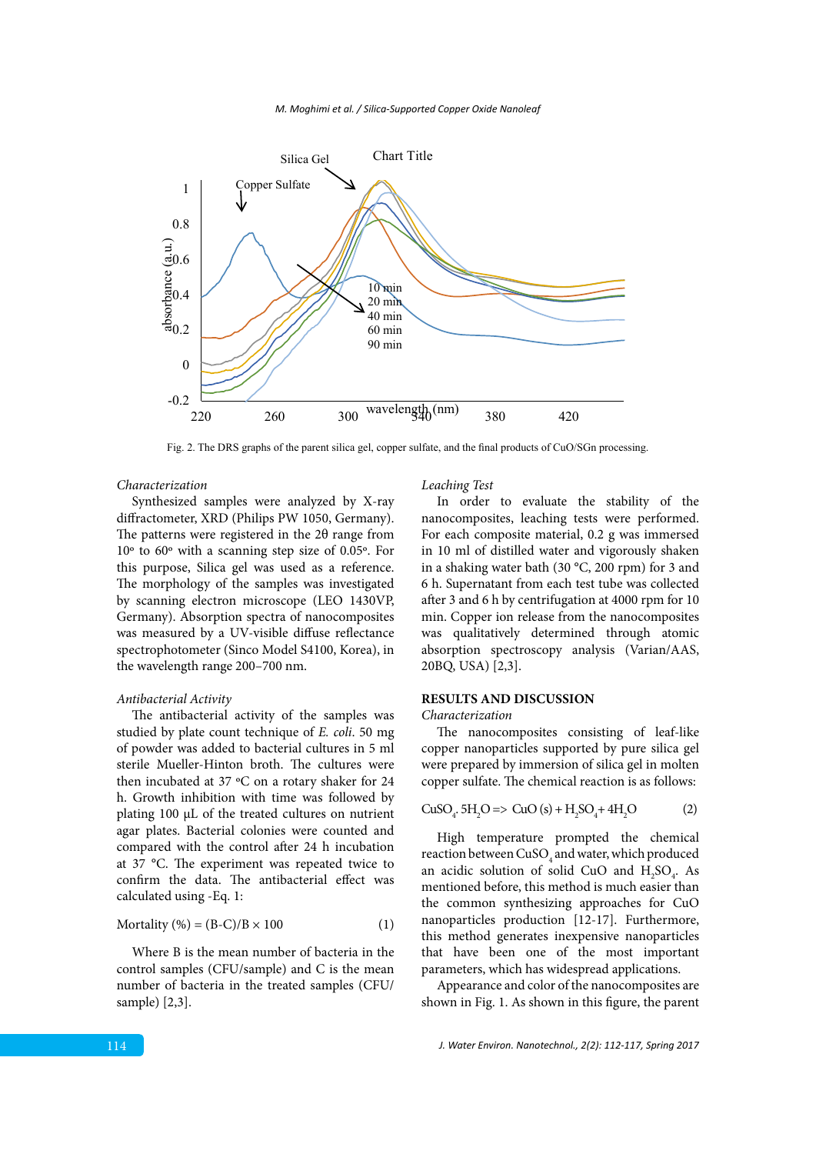



Fig. 2. The DRS graphs of the parent silica gel, copper sulfate, and the final products of CuO/SGn processing.

#### *Characterization*

Synthesized samples were analyzed by X-ray diffractometer, XRD (Philips PW 1050, Germany). The patterns were registered in the 2θ range from 10º to 60º with a scanning step size of 0.05º. For this purpose, Silica gel was used as a reference. The morphology of the samples was investigated by scanning electron microscope (LEO 1430VP, Germany). Absorption spectra of nanocomposites was measured by a UV-visible diffuse reflectance spectrophotometer (Sinco Model S4100, Korea), in the wavelength range 200–700 nm.

#### *Antibacterial Activity*

The antibacterial activity of the samples was studied by plate count technique of *E. coli*. 50 mg of powder was added to bacterial cultures in 5 ml sterile Mueller-Hinton broth. The cultures were then incubated at 37 ºC on a rotary shaker for 24 h. Growth inhibition with time was followed by plating 100 µL of the treated cultures on nutrient agar plates. Bacterial colonies were counted and compared with the control after 24 h incubation at 37 °C. The experiment was repeated twice to confirm the data. The antibacterial effect was calculated using -Eq. 1:

$$
Mortality (\%) = (B-C)/B \times 100 \tag{1}
$$

Where B is the mean number of bacteria in the control samples (CFU/sample) and C is the mean number of bacteria in the treated samples (CFU/ sample) [2,3].

### *Leaching Test*

In order to evaluate the stability of the nanocomposites, leaching tests were performed. For each composite material, 0.2 g was immersed in 10 ml of distilled water and vigorously shaken in a shaking water bath (30 °C, 200 rpm) for 3 and 6 h. Supernatant from each test tube was collected after 3 and 6 h by centrifugation at 4000 rpm for 10 min. Copper ion release from the nanocomposites was qualitatively determined through atomic absorption spectroscopy analysis (Varian/AAS, 20BQ, USA) [2,3].

# **RESULTS AND DISCUSSION**

### *Characterization*

The nanocomposites consisting of leaf-like copper nanoparticles supported by pure silica gel were prepared by immersion of silica gel in molten copper sulfate. The chemical reaction is as follows:

$$
CuSO_{4}.\,5H_{2}O \Longrightarrow CuO(s) + H_{2}SO_{4} + 4H_{2}O \tag{2}
$$

High temperature prompted the chemical reaction between  $\mathrm{CuSO}_4$  and water, which produced an acidic solution of solid CuO and  $H_2SO_4$ . As mentioned before, this method is much easier than the common synthesizing approaches for CuO nanoparticles production [12-17]. Furthermore, this method generates inexpensive nanoparticles that have been one of the most important parameters, which has widespread applications.

Appearance and color of the nanocomposites are shown in Fig. 1. As shown in this figure, the parent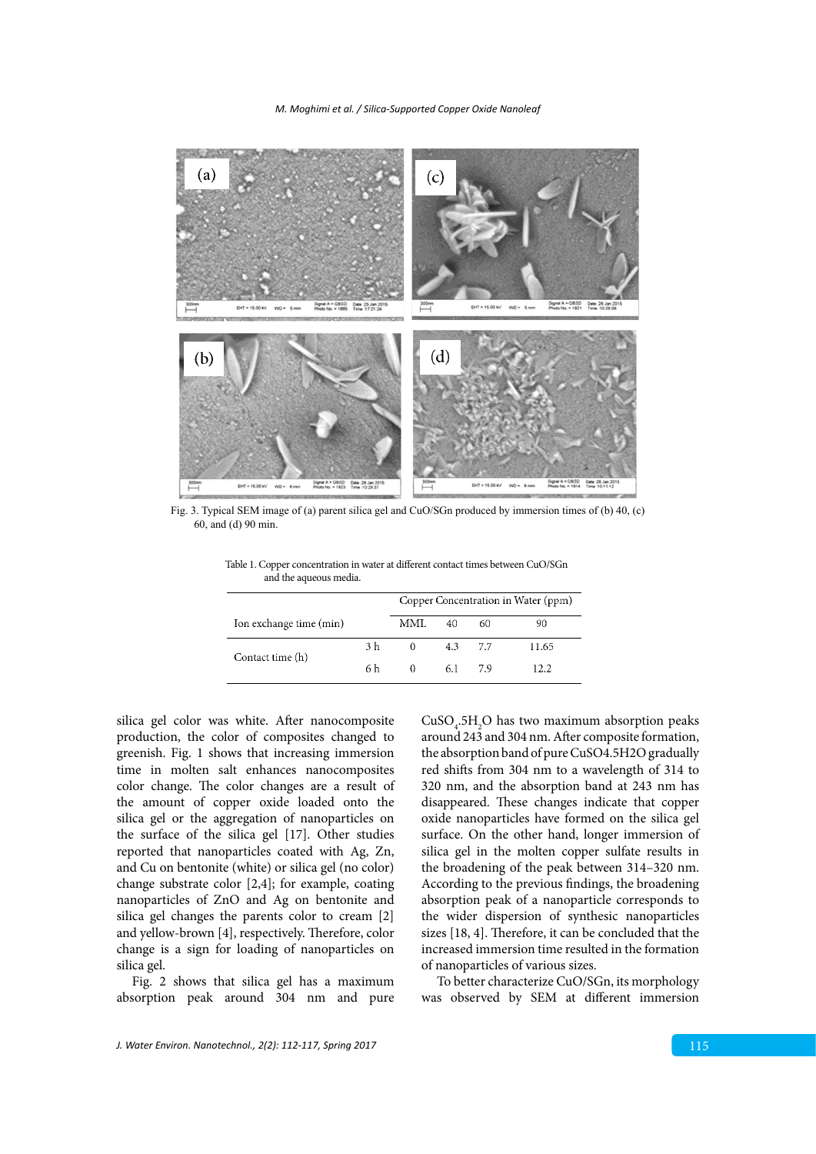*M. Moghimi et al. / Silica-Supported Copper Oxide Nanoleaf*



Fig. 3. Typical SEM image of (a) parent silica gel and CuO/SGn produced by immersion times of (b) 40, (c) 60, and (d) 90 min.

|                         |     | Copper Concentration in Water (ppm) |           |     |       |
|-------------------------|-----|-------------------------------------|-----------|-----|-------|
| Ion exchange time (min) |     | MML.                                | 40        | 60  | 90    |
| Contact time (h)        | 3 h | $\Omega$                            | $4.3$ 7.7 |     | 11.65 |
|                         | 6 h | $^{\circ}$                          | 6.1       | 7.9 | 12.2  |

Table 1. Copper concentration in water at different contact times between CuO/SGn and the aqueous media.

silica gel color was white. After nanocomposite production, the color of composites changed to greenish. Fig. 1 shows that increasing immersion time in molten salt enhances nanocomposites color change. The color changes are a result of the amount of copper oxide loaded onto the silica gel or the aggregation of nanoparticles on the surface of the silica gel [17]. Other studies reported that nanoparticles coated with Ag, Zn, and Cu on bentonite (white) or silica gel (no color) be broadening of the peak bet change substrate color [2,4]; for example, coating nanoparticles of ZnO and Ag on bentonite and silica gel changes the parents color to cream [2] and yellow-brown [4], respectively. Therefore, color change is a sign for loading of nanoparticles on silica gel.

> Fig. 2 shows that silica gel has a maximum absorption peak around 304 nm and pure

 $CuSO<sub>4</sub>$ :5H<sub>2</sub>O has two maximum absorption peaks around 243 and 304 nm. After composite formation, the absorption band of pure CuSO4.5H2O gradually red shifts from 304 nm to a wavelength of 314 to 320 nm, and the absorption band at 243 nm has disappeared. These changes indicate that copper oxide nanoparticles have formed on the silica gel surface. On the other hand, longer immersion of silica gel in the molten copper sulfate results in the broadening of the peak between 314–320 nm. According to the previous findings, the broadening absorption peak of a nanoparticle corresponds to the wider dispersion of synthesic nanoparticles sizes [18, 4]. Therefore, it can be concluded that the increased immersion time resulted in the formation of nanoparticles of various sizes.

To better characterize CuO/SGn, its morphology was observed by SEM at different immersion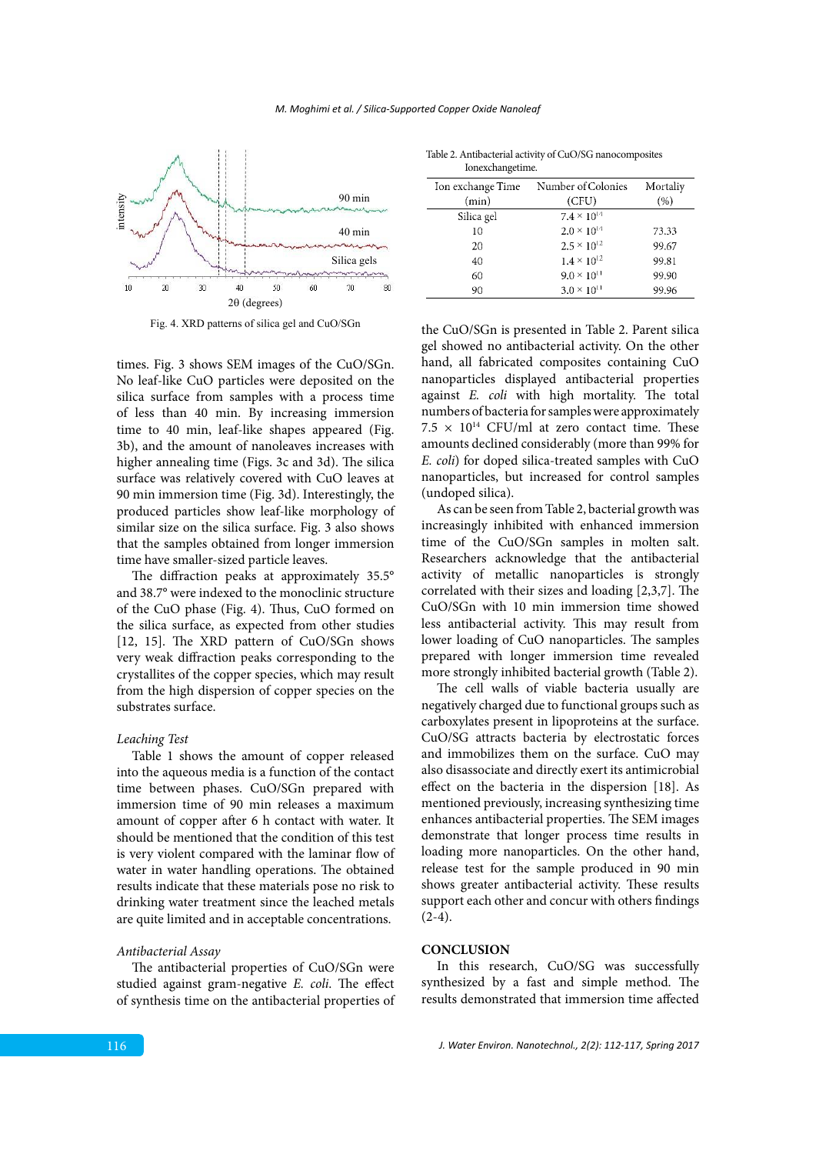

Fig. 4. XRD patterns of silica gel and CuO/SGn Fig. 4. XRD patterns of silica gel and CuO/SGn

times. Fig. 3 shows SEM images of the CuO/SGn. No leaf-like CuO particles were deposited on the silica surface from samples with a process time of less than 40 min. By increasing immersion time to 40 min, leaf-like shapes appeared (Fig. 3b), and the amount of nanoleaves increases with higher annealing time (Figs. 3c and 3d). The silica surface was relatively covered with CuO leaves at 90 min immersion time (Fig. 3d). Interestingly, the produced particles show leaf-like morphology of similar size on the silica surface. Fig. 3 also shows that the samples obtained from longer immersion time have smaller-sized particle leaves.

The diffraction peaks at approximately 35.5° and 38.7° were indexed to the monoclinic structure of the CuO phase (Fig. 4). Thus, CuO formed on the silica surface, as expected from other studies [12, 15]. The XRD pattern of CuO/SGn shows very weak diffraction peaks corresponding to the crystallites of the copper species, which may result from the high dispersion of copper species on the substrates surface.

#### *Leaching Test*

Table 1 shows the amount of copper released into the aqueous media is a function of the contact time between phases. CuO/SGn prepared with immersion time of 90 min releases a maximum amount of copper after 6 h contact with water. It should be mentioned that the condition of this test is very violent compared with the laminar flow of water in water handling operations. The obtained results indicate that these materials pose no risk to drinking water treatment since the leached metals are quite limited and in acceptable concentrations.

#### *Antibacterial Assay*

The antibacterial properties of CuO/SGn were studied against gram-negative *E. coli*. The effect of synthesis time on the antibacterial properties of

| Ionexchangetime.  |                      |          |
|-------------------|----------------------|----------|
| Ion exchange Time | Number of Colonies   | Mortaliy |
| (min)             | (CFU)                | (%)      |
| Silica gel        | $7.4 \times 10^{14}$ |          |
| 10                | $2.0 \times 10^{14}$ | 73.33    |
| 20                | $2.5 \times 10^{12}$ | 99.67    |
| 40                | $1.4 \times 10^{12}$ | 99.81    |
| 60                | $9.0 \times 10^{11}$ | 99.90    |
| 90                | $3.0 \times 10^{11}$ | 99.96    |

Table 2. Antibacterial activity of CuO/SG nanocomposites

the CuO/SGn is presented in Table 2. Parent silica gel showed no antibacterial activity. On the other hand, all fabricated composites containing CuO nanoparticles displayed antibacterial properties against *E. coli* with high mortality. The total numbers of bacteria for samples were approximately  $7.5 \times 10^{14}$  CFU/ml at zero contact time. These amounts declined considerably (more than 99% for *E. coli*) for doped silica-treated samples with CuO nanoparticles, but increased for control samples (undoped silica).

As can be seen from Table 2, bacterial growth was increasingly inhibited with enhanced immersion time of the CuO/SGn samples in molten salt. Researchers acknowledge that the antibacterial activity of metallic nanoparticles is strongly correlated with their sizes and loading [2,3,7]. The CuO/SGn with 10 min immersion time showed less antibacterial activity. This may result from lower loading of CuO nanoparticles. The samples prepared with longer immersion time revealed more strongly inhibited bacterial growth (Table 2).

The cell walls of viable bacteria usually are negatively charged due to functional groups such as carboxylates present in lipoproteins at the surface. CuO/SG attracts bacteria by electrostatic forces and immobilizes them on the surface. CuO may also disassociate and directly exert its antimicrobial effect on the bacteria in the dispersion [18]. As mentioned previously, increasing synthesizing time enhances antibacterial properties. The SEM images demonstrate that longer process time results in loading more nanoparticles. On the other hand, release test for the sample produced in 90 min shows greater antibacterial activity. These results support each other and concur with others findings  $(2-4).$ 

## **CONCLUSION**

In this research, CuO/SG was successfully synthesized by a fast and simple method. The results demonstrated that immersion time affected